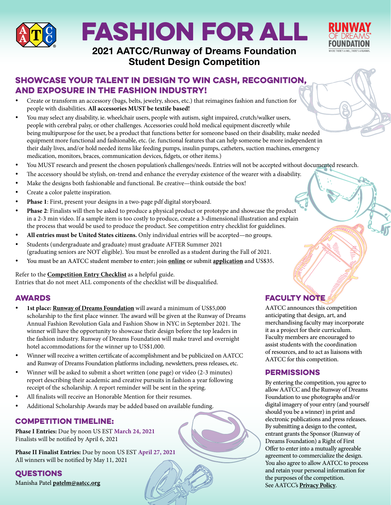

# FASHION FOR ALL



## 2021 AATCC/Runway of Dreams Foundation Student Design Competition

## Showcase your talent in design to win cash, recognition, and exposure in the fashion industry!

- % Create or transform an accessory (bags, belts, jewelry, shoes, etc.) that reimagines fashion and function for people with disabilities. **All accessories MUST be textile based!**
- You may select any disability, ie. wheelchair users, people with autism, sight impaired, crutch/walker users, people with cerebral palsy, or other challenges. Accessories could hold medical equipment discreetly while being multipurpose for the user, be a product that functions better for someone based on their disability, make needed equipment more functional and fashionable, etc. (ie. functional features that can help someone be more independent in their daily lives, and/or hold needed items like feeding pumps, insulin pumps, catheters, suction machines, emergency medication, monitors, braces, communication devices, fidgets, or other items.)
- You MUST research and present the chosen population's challenges/needs. Entries will not be accepted without documented research.
- The accessory should be stylish, on-trend and enhance the everyday existence of the wearer with a disability.
- Make the designs both fashionable and functional. Be creative—think outside the box!
- Create a color palette inspiration.
- Phase 1: First, present your designs in a two-page pdf digital storyboard.
- Phase 2: Finalists will then be asked to produce a physical product or prototype and showcase the product in a 2-3 min video. If a sample item is too costly to produce, create a 3-dimensional illustration and explain the process that would be used to produce the product. See competition entry checklist for guidelines.
- % **All entries must be United States citizens.** Only individual entries will be accepted—no groups.
- Students (undergraduate and graduate) must graduate AFTER Summer 2021 (graduating seniors are NOT eligible). You must be enrolled as a student during the Fall of 2021.
- % You must be an AATCC student member to enter; join **online** or submit **application** and US\$35.

Refer to the **Competition Entry Checklist** as a helpful guide.

Entries that do not meet ALL components of the checklist will be disqualified.

#### **AWARDS**

- 1st place: Runway of Dreams Foundation will award a minimum of US\$5,000 scholarship to the first place winner. The award will be given at the Runway of Dreams Annual Fashion Revolution Gala and Fashion Show in NYC in September 2021. The winner will have the opportunity to showcase their design before the top leaders in the fashion industry. Runway of Dreams Foundation will make travel and overnight hotel accommodations for the winner up to US\$1,000.
- Winner will receive a written certificate of accomplishment and be publicized on AATCC and Runway of Dreams Foundation platforms including, newsletters, press releases, etc.
- Winner will be asked to submit a short written (one page) or video (2-3 minutes) report describing their academic and creative pursuits in fashion a year following receipt of the scholarship. A report reminder will be sent in the spring.
- All finalists will receive an Honorable Mention for their resumes.
- Additional Scholarship Awards may be added based on available funding.

## COMPETITION TIMELINE:

**Phase I Entries:** Due by noon US EST **March 24, 2021** Finalists will be notified by April 6, 2021

**Phase II Finalist Entries:** Due by noon US EST **April 27, 2021** All winners will be notified by May 11, 2021

**QUESTIONS** Manisha Patel **patelm@aatcc.org**

## **FACULTY NOTE**

AATCC announces this competition anticipating that design, art, and merchandising faculty may incorporate it as a project for their curriculum. Faculty members are encouraged to assist students with the coordination of resources, and to act as liaisons with AATCC for this competition.

## **PERMISSIONS**

By entering the competition, you agree to allow AATCC and the Runway of Dreams Foundation to use photographs and/or digital imagery of your entry (and yourself should you be a winner) in print and electronic publications and press releases. By submitting a design to the contest, entrant grants the Sponsor (Runway of Dreams Foundation) a Right of First Offer to enter into a mutually agreeable agreement to commercialize the design. You also agree to allow AATCC to process and retain your personal information for the purposes of the competition. See AATCC's **Privacy Policy**.